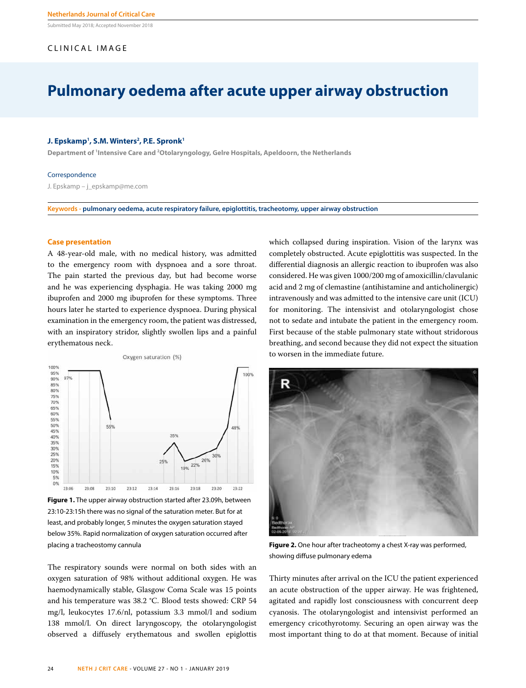Submitted May 2018; Accepted November 2018

# CLINICAL IMAGE

# **Pulmonary oedema after acute upper airway obstruction**

#### **J. Epskamp1 , S.M. Winters2 , P.E. Spronk1**

**Department of 1 Intensive Care and 2 Otolaryngology, Gelre Hospitals, Apeldoorn, the Netherlands**

#### Correspondence

J. Epskamp – j\_epskamp@me.com

**Keywords - pulmonary oedema, acute respiratory failure, epiglottitis, tracheotomy, upper airway obstruction**

#### **Case presentation**

A 48-year-old male, with no medical history, was admitted to the emergency room with dyspnoea and a sore throat. The pain started the previous day, but had become worse and he was experiencing dysphagia. He was taking 2000 mg ibuprofen and 2000 mg ibuprofen for these symptoms. Three hours later he started to experience dyspnoea. During physical examination in the emergency room, the patient was distressed, with an inspiratory stridor, slightly swollen lips and a painful erythematous neck.



**Figure 1.** The upper airway obstruction started after 23.09h, between 23:10-23:15h there was no signal of the saturation meter. But for at least, and probably longer, 5 minutes the oxygen saturation stayed below 35%. Rapid normalization of oxygen saturation occurred after placing a tracheostomy cannula

The respiratory sounds were normal on both sides with an oxygen saturation of 98% without additional oxygen. He was haemodynamically stable, Glasgow Coma Scale was 15 points and his temperature was 38.2 °C. Blood tests showed: CRP 54 mg/l, leukocytes 17.6/nl, potassium 3.3 mmol/l and sodium 138 mmol/l. On direct laryngoscopy, the otolaryngologist observed a diffusely erythematous and swollen epiglottis which collapsed during inspiration. Vision of the larynx was completely obstructed. Acute epiglottitis was suspected. In the differential diagnosis an allergic reaction to ibuprofen was also considered. He was given 1000/200 mg of amoxicillin/clavulanic acid and 2 mg of clemastine (antihistamine and anticholinergic) intravenously and was admitted to the intensive care unit (ICU) for monitoring. The intensivist and otolaryngologist chose not to sedate and intubate the patient in the emergency room. First because of the stable pulmonary state without stridorous breathing, and second because they did not expect the situation to worsen in the immediate future.



**Figure 2.** One hour after tracheotomy a chest X-ray was performed, showing diffuse pulmonary edema

Thirty minutes after arrival on the ICU the patient experienced an acute obstruction of the upper airway. He was frightened, agitated and rapidly lost consciousness with concurrent deep cyanosis. The otolaryngologist and intensivist performed an emergency cricothyrotomy. Securing an open airway was the most important thing to do at that moment. Because of initial